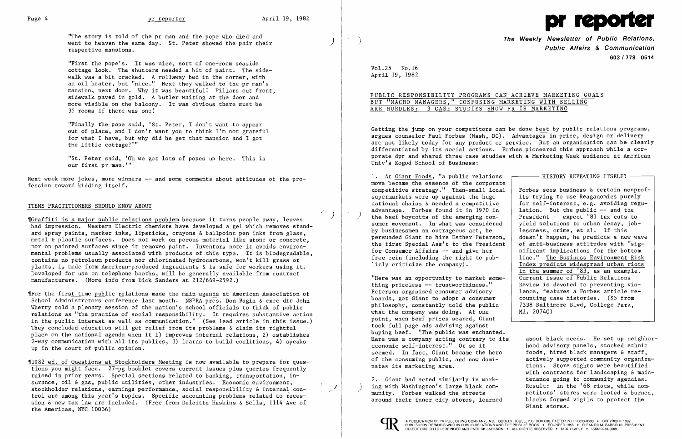

"The story is told of the pr man and the pope who died and went to heaven the same day. St. Peter showed the pair their respective mansions.

"First the pope's. It was nice, sort of one-room seaside cottage look. The shutters needed a bit of paint. The sidewalk was a bit cracked. A rollaway bed in the corner, with an oil heater, but "nice." Next they walked to the pr man's mansion, next door. Why it was beautiful: Pillars out front, sidewalk paved in gold. A butler waiting at the door and more visible on the balcony. It was obvious there must be 35 rooms if there was one:

Next week more jokes, more winners -- and some comments about attitudes of the profession toward kidding itself.

"Finally the pope said, 'St. Peter, I don't want to appear out of place, and I don't want you to think I'm not grateful for what I have, but why did he get that mansion and I got the little cottage? "'

"St. Peter said, 'Oh we got lots of popes up here. This is our first pr man. '"

## ITEMS PRACTITIONERS SHOULD KNOW ABOUT

'IGraffiti is a major public relations problem because it turns people away, leaves bad impression. Western Electric chemists have developed a gel which removes standard spray paints, marker inks, lipsticks, crayons & ballpoint pen inks from glass, metal & plastic surfaces. Does not work on porous material like stone or concrete, nor on painted surfaces since it removes paint. Inventors note it avoids environmental problems usually associated with products of this type. It is biodegradable, contains no petroleum products nor chlorinated hydrocarbons, won't kill grass or plants, is made from American-produced ingredients & is safe for workers using it. Developed for use on telephone booths, will be generally available from contract manufacturers. (More info from Dick Sanders at 212/669-2592.)

The Weekly Newsletter of Public Relations,<br>Public Affairs & Communication 603/778 - 0514

'IFor the first time public relations made the main agenda at American Association of School Administrators conference last month. NSPRA pres. Don Bagin & exec dir John Wherry told a plenary session of the nation's school officials to think of public relations as "the practice of social responsibility. It requires substantive action in the public interest as well as communication." (See lead article in this issue.) They concluded education will get relief from its problems & claim its rightful place on the national agenda when it 1) improves internal relations, 2) establishes 2-way communication with all its publics, 3) learns to build coalitions, 4) speaks up in the court of public opinion.

| - HISTORY REPEATING ITSELF?                                                                                                                                                                           |
|-------------------------------------------------------------------------------------------------------------------------------------------------------------------------------------------------------|
|                                                                                                                                                                                                       |
| Forbes sees business & certain nonprof-<br>its trying to use Reaganomics purely<br>for self-interest, e.g. avoiding regu-<br>lation. But the public -- and the<br>President -- expect '81 tax cuts to |
| yield solutions to urban decay, job-                                                                                                                                                                  |
| lessness, crime, et al. If this                                                                                                                                                                       |
| doesn't happen, he predicts a new wave                                                                                                                                                                |
| of anti-business attitudes with "sig-                                                                                                                                                                 |
| nificant implications for the bottom                                                                                                                                                                  |
| line." The Business Environment Risk                                                                                                                                                                  |
| Index predicts widespread urban riots                                                                                                                                                                 |
| in the summer of '83, as an example.                                                                                                                                                                  |
| Current issue of Public Relations                                                                                                                                                                     |
| Review is devoted to preventing vio-                                                                                                                                                                  |
| lence, features a Forbes article re-                                                                                                                                                                  |
| counting case histories. (\$5 from                                                                                                                                                                    |
| 7338 Baltimore Blvd, College Park,<br>Md. 20740)                                                                                                                                                      |
|                                                                                                                                                                                                       |

'11982 ed. of Questions at Stockholders Meeting is now available to prepare for questions you might face. 27-pg booklet covers current issues plus queries frequently raised in prior years. Special sections related to banking, transportation, insurance, oil & gas, public utilities, other industries. Economic environment, stockholder relations, earnings performance, social responsibility & internal control are among this year's topics. Specific accounting problems related to recession & new tax law are included. (Free from Deloitte Haskins & Sells, 1114 Ave of the Americas, NYC 10036)

Here was a company acting contrary to its about black needs. He set up neighbor-<br>economic self-interest." Or so it bood advisory panels, stocked ethnic foods, hired black managers & staff,<br>actively supported community organizanates its marketing area. The store sights were beautified with contracts for landscaping & main-2. Giant had acted similarly in work-<br>tenance going to community agencies. ) ing with Washington's large black community. Forbes walked the streets Result: in the '68 riots, while competitors' stores were looted & burned,<br>blacks formed vigils to protect the around their inner city stores, learned Giant stores.



)

 $\left( \right)$ 

 $\mathscr{J}$ 

Vol. 25 No. 16 April 19, 1982

# PUBLIC RESPONSIBILITY PROGRAMS CAN ACHIEVE MARKETING GOALS BUT "MACHO MANAGERS," CONFUSING MARKETING WITH SELLING ARE HURDLES: 3 CASE STUDIES SHOW PR IS MARKETING

Getting the jump on your competitors can be done best by public relations programs, argues counselor Paul Forbes (Wash, DC). Advantages in price, design or delivery are not likely today for any product or service. But an organization can be clearly differentiated by its social actions. Forbes pioneered this approach while a corporate dpr and shared three case studies with a Marketing Week audience at American Univ's Kogod School of Business:

1. At Giant Foods, "a public relations move became the essence of the corporate competitive strategy." Then-small  $local$ supermarkets were up against the huge national chains  $\&$  needed a competitive ) advantage. Forbes found it in 1970 in the beef boycotts of the emerging consumer movement. In what was considered by businessmen an outrageous act, he persuaded Giant to hire Esther Peterson, the first Special Ass't to the President for Consumer Affairs  $-$  and give her free rein (including the right to publicly criticize the company).

"Here was an opportunity to market something priceless  $--$  trustworthiness." Peterson organized consumer advisory boards, got Giant to adopt a consumer philosophy, constantly told the public what the company was doing. At one point, when beef prices soared, Giant took full page ads advising against buying beef. "The public was enchanted. economic self-interest." Or so it<br>seemed. In fact, Giant became the hero of the consuming public, and now domi